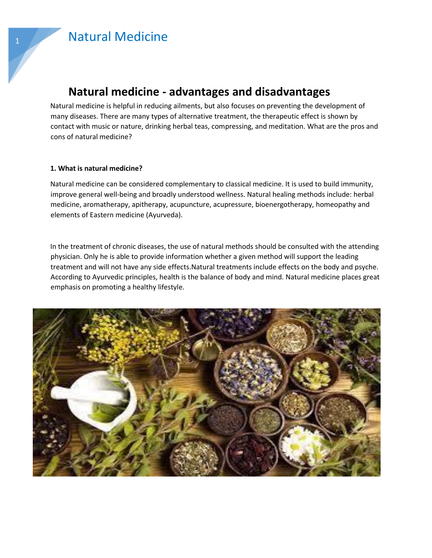1

## **Natural medicine - advantages and disadvantages**

Natural medicine is helpful in reducing ailments, but also focuses on preventing the development of many diseases. There are many types of alternative treatment, the therapeutic effect is shown by contact with music or nature, drinking herbal teas, compressing, and meditation. What are the pros and cons of natural medicine?

## **1. What is natural medicine?**

Natural medicine can be considered complementary to classical medicine. It is used to build immunity, improve general well-being and broadly understood wellness. Natural healing methods include: herbal medicine, aromatherapy, apitherapy, acupuncture, acupressure, bioenergotherapy, homeopathy and elements of Eastern medicine (Ayurveda).

In the treatment of chronic diseases, the use of natural methods should be consulted with the attending physician. Only he is able to provide information whether a given method will support the leading treatment and will not have any side effects.Natural treatments include effects on the body and psyche. According to Ayurvedic principles, health is the balance of body and mind. Natural medicine places great emphasis on promoting a healthy lifestyle.